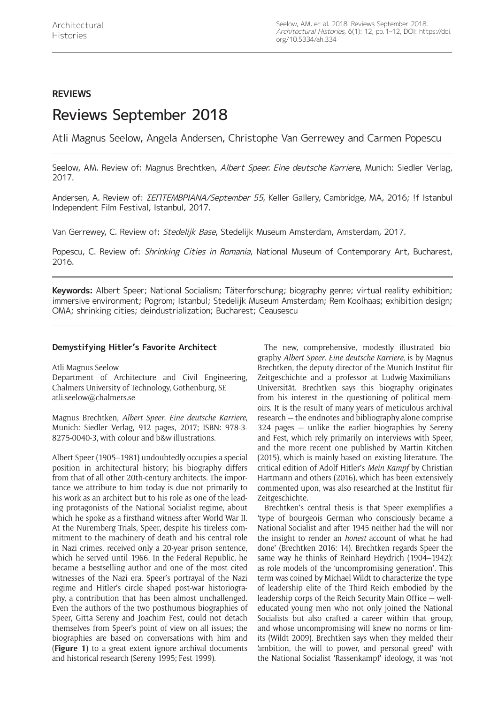# **REVIEWS**

# Reviews September 2018

Atli Magnus Seelow, Angela Andersen, Christophe Van Gerrewey and Carmen Popescu

Seelow, AM. Review of: Magnus Brechtken, Albert Speer. Eine deutsche Karriere, Munich: Siedler Verlag, 2017.

Andersen, A. Review of: ΣΕΠΤΕΜΒΡΙΑΝA/September 55, Keller Gallery, Cambridge, MA, 2016; !f Istanbul Independent Film Festival, Istanbul, 2017.

Van Gerrewey, C. Review of: Stedelijk Base, Stedelijk Museum Amsterdam, Amsterdam, 2017.

Popescu, C. Review of: Shrinking Cities in Romania, National Museum of Contemporary Art, Bucharest, 2016.

**Keywords:** Albert Speer; National Socialism; Täterforschung; biography genre; virtual reality exhibition; immersive environment; Pogrom; Istanbul; Stedelijk Museum Amsterdam; Rem Koolhaas; exhibition design; OMA; shrinking cities; deindustrialization; Bucharest; Ceausescu

## **Demystifying Hitler's Favorite Architect**

Atli Magnus Seelow

Department of Architecture and Civil Engineering, Chalmers University of Technology, Gothenburg, SE [atli.seelow@chalmers.se](mailto:atli.seelow@chalmers.se)

Magnus Brechtken, *Albert Speer*. *Eine deutsche Karriere*, Munich: Siedler Verlag, 912 pages, 2017; ISBN: 978-3- 8275-0040-3, with colour and b&w illustrations.

Albert Speer (1905–1981) undoubtedly occupies a special position in architectural history; his biography differs from that of all other 20th-century architects. The importance we attribute to him today is due not primarily to his work as an architect but to his role as one of the leading protagonists of the National Socialist regime, about which he spoke as a firsthand witness after World War II. At the Nuremberg Trials, Speer, despite his tireless commitment to the machinery of death and his central role in Nazi crimes, received only a 20-year prison sentence, which he served until 1966. In the Federal Republic, he became a bestselling author and one of the most cited witnesses of the Nazi era. Speer's portrayal of the Nazi regime and Hitler's circle shaped post-war historiography, a contribution that has been almost unchallenged. Even the authors of the two posthumous biographies of Speer, Gitta Sereny and Joachim Fest, could not detach themselves from Speer's point of view on all issues; the biographies are based on conversations with him and (**Figure 1**) to a great extent ignore archival documents and historical research (Sereny 1995; Fest 1999).

The new, comprehensive, modestly illustrated biography *Albert Speer*. *Eine deutsche Karriere*, is by Magnus Brechtken, the deputy director of the Munich Institut für Zeitgeschichte and a professor at Ludwig-Maximilians-Universität. Brechtken says this biography originates from his interest in the questioning of political memoirs. It is the result of many years of meticulous archival research — the endnotes and bibliography alone comprise 324 pages — unlike the earlier biographies by Sereny and Fest, which rely primarily on interviews with Speer, and the more recent one published by Martin Kitchen (2015), which is mainly based on existing literature. The critical edition of Adolf Hitler's *Mein Kampf* by Christian Hartmann and others (2016), which has been extensively commented upon, was also researched at the Institut für Zeitgeschichte.

Brechtken's central thesis is that Speer exemplifies a 'type of bourgeois German who consciously became a National Socialist and after 1945 neither had the will nor the insight to render an *honest* account of what he had done' (Brechtken 2016: 14). Brechtken regards Speer the same way he thinks of Reinhard Heydrich (1904–1942): as role models of the 'uncompromising generation'. This term was coined by Michael Wildt to characterize the type of leadership elite of the Third Reich embodied by the leadership corps of the Reich Security Main Office — welleducated young men who not only joined the National Socialists but also crafted a career within that group, and whose uncompromising will knew no norms or limits (Wildt 2009). Brechtken says when they melded their 'ambition, the will to power, and personal greed' with the National Socialist 'Rassenkampf' ideology, it was 'not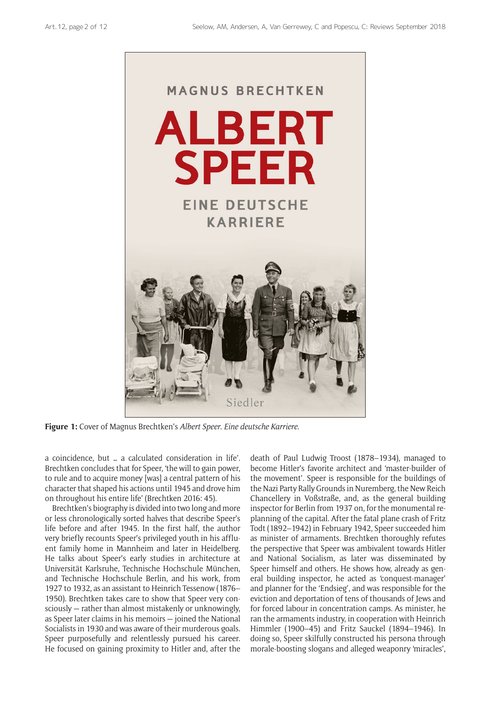

**Figure 1:** Cover of Magnus Brechtken's *Albert Speer*. *Eine deutsche Karriere*.

a coincidence, but … a calculated consideration in life'. Brechtken concludes that for Speer, 'the will to gain power, to rule and to acquire money [was] a central pattern of his character that shaped his actions until 1945 and drove him on throughout his entire life' (Brechtken 2016: 45).

Brechtken's biography is divided into two long and more or less chronologically sorted halves that describe Speer's life before and after 1945. In the first half, the author very briefly recounts Speer's privileged youth in his affluent family home in Mannheim and later in Heidelberg. He talks about Speer's early studies in architecture at Universität Karlsruhe, Technische Hochschule München, and Technische Hochschule Berlin, and his work, from 1927 to 1932, as an assistant to Heinrich Tessenow (1876– 1950). Brechtken takes care to show that Speer very consciously — rather than almost mistakenly or unknowingly, as Speer later claims in his memoirs — joined the National Socialists in 1930 and was aware of their murderous goals. Speer purposefully and relentlessly pursued his career. He focused on gaining proximity to Hitler and, after the

death of Paul Ludwig Troost (1878–1934), managed to become Hitler's favorite architect and 'master-builder of the movement'. Speer is responsible for the buildings of the Nazi Party Rally Grounds in Nuremberg, the New Reich Chancellery in Voßstraße, and, as the general building inspector for Berlin from 1937 on, for the monumental replanning of the capital. After the fatal plane crash of Fritz Todt (1892–1942) in February 1942, Speer succeeded him as minister of armaments. Brechtken thoroughly refutes the perspective that Speer was ambivalent towards Hitler and National Socialism, as later was disseminated by Speer himself and others. He shows how, already as general building inspector, he acted as 'conquest-manager' and planner for the 'Endsieg', and was responsible for the eviction and deportation of tens of thousands of Jews and for forced labour in concentration camps. As minister, he ran the armaments industry, in cooperation with Heinrich Himmler (1900–45) and Fritz Sauckel (1894–1946). In doing so, Speer skilfully constructed his persona through morale-boosting slogans and alleged weaponry 'miracles',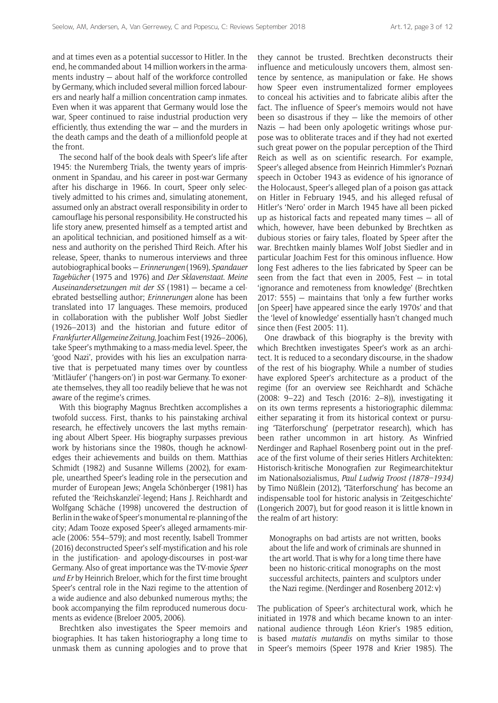and at times even as a potential successor to Hitler. In the end, he commanded about 14 million workers in the armaments industry — about half of the workforce controlled by Germany, which included several million forced labourers and nearly half a million concentration camp inmates. Even when it was apparent that Germany would lose the war, Speer continued to raise industrial production very efficiently, thus extending the war — and the murders in the death camps and the death of a millionfold people at the front.

The second half of the book deals with Speer's life after 1945: the Nuremberg Trials, the twenty years of imprisonment in Spandau, and his career in post-war Germany after his discharge in 1966. In court, Speer only selectively admitted to his crimes and, simulating atonement, assumed only an abstract overall responsibility in order to camouflage his personal responsibility. He constructed his life story anew, presented himself as a tempted artist and an apolitical technician, and positioned himself as a witness and authority on the perished Third Reich. After his release, Speer, thanks to numerous interviews and three autobiographical books — *Erinnerungen* (1969), *Spandauer Tagebücher* (1975 and 1976) and *Der Sklavenstaat*. *Meine Auseinandersetzungen mit der SS* (1981) — became a celebrated bestselling author; *Erinnerungen* alone has been translated into 17 languages. These memoirs, produced in collaboration with the publisher Wolf Jobst Siedler (1926–2013) and the historian and future editor of *Frankfurter Allgemeine Zeitung*, Joachim Fest (1926–2006), take Speer's mythmaking to a mass-media level. Speer, the 'good Nazi', provides with his lies an exculpation narrative that is perpetuated many times over by countless 'Mitläufer' ('hangers-on') in post-war Germany. To exonerate themselves, they all too readily believe that he was not aware of the regime's crimes.

With this biography Magnus Brechtken accomplishes a twofold success. First, thanks to his painstaking archival research, he effectively uncovers the last myths remaining about Albert Speer. His biography surpasses previous work by historians since the 1980s, though he acknowledges their achievements and builds on them. Matthias Schmidt (1982) and Susanne Willems (2002), for example, unearthed Speer's leading role in the persecution and murder of European Jews; Angela Schönberger (1981) has refuted the 'Reichskanzlei'-legend; Hans J. Reichhardt and Wolfgang Schäche (1998) uncovered the destruction of Berlin in the wake of Speer's monumental re-planning of the city; Adam Tooze exposed Speer's alleged armaments-miracle (2006: 554–579); and most recently, Isabell Trommer (2016) deconstructed Speer's self-mystification and his role in the justification- and apology-discourses in post-war Germany. Also of great importance was the TV-movie *Speer und Er* by Heinrich Breloer, which for the first time brought Speer's central role in the Nazi regime to the attention of a wide audience and also debunked numerous myths; the book accompanying the film reproduced numerous documents as evidence (Breloer 2005, 2006).

Brechtken also investigates the Speer memoirs and biographies. It has taken historiography a long time to unmask them as cunning apologies and to prove that they cannot be trusted. Brechtken deconstructs their influence and meticulously uncovers them, almost sentence by sentence, as manipulation or fake. He shows how Speer even instrumentalized former employees to conceal his activities and to fabricate alibis after the fact. The influence of Speer's memoirs would not have been so disastrous if they — like the memoirs of other Nazis — had been only apologetic writings whose purpose was to obliterate traces and if they had not exerted such great power on the popular perception of the Third Reich as well as on scientific research. For example, Speer's alleged absence from Heinrich Himmler's Poznań speech in October 1943 as evidence of his ignorance of the Holocaust, Speer's alleged plan of a poison gas attack on Hitler in February 1945, and his alleged refusal of Hitler's 'Nero' order in March 1945 have all been picked up as historical facts and repeated many times — all of which, however, have been debunked by Brechtken as dubious stories or fairy tales, floated by Speer after the war. Brechtken mainly blames Wolf Jobst Siedler and in particular Joachim Fest for this ominous influence. How long Fest adheres to the lies fabricated by Speer can be seen from the fact that even in 2005, Fest  $-$  in total 'ignorance and remoteness from knowledge' (Brechtken 2017: 555) — maintains that 'only a few further works [on Speer] have appeared since the early 1970s' and that the 'level of knowledge' essentially hasn't changed much since then (Fest 2005: 11).

One drawback of this biography is the brevity with which Brechtken investigates Speer's work as an architect. It is reduced to a secondary discourse, in the shadow of the rest of his biography. While a number of studies have explored Speer's architecture as a product of the regime (for an overview see Reichhardt and Schäche (2008: 9–22) and Tesch (2016: 2–8)), investigating it on its own terms represents a historiographic dilemma: either separating it from its historical context or pursuing 'Täterforschung' (perpetrator research), which has been rather uncommon in art history. As Winfried Nerdinger and Raphael Rosenberg point out in the preface of the first volume of their series Hitlers Architekten: Historisch-kritische Monografien zur Regimearchitektur im Nationalsozialismus, *Paul Ludwig Troost (1878–1934)* by Timo Nüßlein (2012), 'Täterforschung' has become an indispensable tool for historic analysis in 'Zeitgeschichte' (Longerich 2007), but for good reason it is little known in the realm of art history:

Monographs on bad artists are not written, books about the life and work of criminals are shunned in the art world. That is why for a long time there have been no historic-critical monographs on the most successful architects, painters and sculptors under the Nazi regime. (Nerdinger and Rosenberg 2012: v)

The publication of Speer's architectural work, which he initiated in 1978 and which became known to an international audience through Léon Krier's 1985 edition, is based *mutatis mutandis* on myths similar to those in Speer's memoirs (Speer 1978 and Krier 1985). The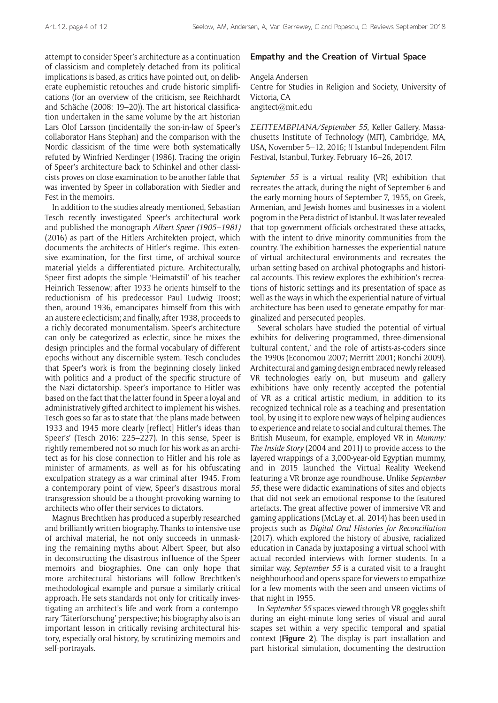attempt to consider Speer's architecture as a continuation of classicism and completely detached from its political implications is based, as critics have pointed out, on deliberate euphemistic retouches and crude historic simplifications (for an overview of the criticism, see Reichhardt and Schäche (2008: 19–20)). The art historical classification undertaken in the same volume by the art historian Lars Olof Larsson (incidentally the son-in-law of Speer's collaborator Hans Stephan) and the comparison with the Nordic classicism of the time were both systematically refuted by Winfried Nerdinger (1986). Tracing the origin of Speer's architecture back to Schinkel and other classicists proves on close examination to be another fable that was invented by Speer in collaboration with Siedler and Fest in the memoirs.

In addition to the studies already mentioned, Sebastian Tesch recently investigated Speer's architectural work and published the monograph *Albert Speer (1905–1981)* (2016) as part of the Hitlers Architekten project, which documents the architects of Hitler's regime. This extensive examination, for the first time, of archival source material yields a differentiated picture. Architecturally, Speer first adopts the simple 'Heimatstil' of his teacher Heinrich Tessenow; after 1933 he orients himself to the reductionism of his predecessor Paul Ludwig Troost; then, around 1936, emancipates himself from this with an austere eclecticism; and finally, after 1938, proceeds to a richly decorated monumentalism. Speer's architecture can only be categorized as eclectic, since he mixes the design principles and the formal vocabulary of different epochs without any discernible system. Tesch concludes that Speer's work is from the beginning closely linked with politics and a product of the specific structure of the Nazi dictatorship. Speer's importance to Hitler was based on the fact that the latter found in Speer a loyal and administratively gifted architect to implement his wishes. Tesch goes so far as to state that 'the plans made between 1933 and 1945 more clearly [reflect] Hitler's ideas than Speer's' (Tesch 2016: 225–227). In this sense, Speer is rightly remembered not so much for his work as an architect as for his close connection to Hitler and his role as minister of armaments, as well as for his obfuscating exculpation strategy as a war criminal after 1945. From a contemporary point of view, Speer's disastrous moral transgression should be a thought-provoking warning to architects who offer their services to dictators.

Magnus Brechtken has produced a superbly researched and brilliantly written biography. Thanks to intensive use of archival material, he not only succeeds in unmasking the remaining myths about Albert Speer, but also in deconstructing the disastrous influence of the Speer memoirs and biographies. One can only hope that more architectural historians will follow Brechtken's methodological example and pursue a similarly critical approach. He sets standards not only for critically investigating an architect's life and work from a contemporary 'Täterforschung' perspective; his biography also is an important lesson in critically revising architectural history, especially oral history, by scrutinizing memoirs and self-portrayals.

#### **Empathy and the Creation of Virtual Space**

Angela Andersen Centre for Studies in Religion and Society, University of Victoria, CA [angitect@mit.edu](mailto:angitect@mit.edu)

*ΣΕΠΤΕΜΒΡΙΑΝA/September 55*, Keller Gallery, Massachusetts Institute of Technology (MIT), Cambridge, MA, USA, November 5–12, 2016; !f Istanbul Independent Film Festival, Istanbul, Turkey, February 16–26, 2017.

*September 55* is a virtual reality (VR) exhibition that recreates the attack, during the night of September 6 and the early morning hours of September 7, 1955, on Greek, Armenian, and Jewish homes and businesses in a violent pogrom in the Pera district of Istanbul. It was later revealed that top government officials orchestrated these attacks, with the intent to drive minority communities from the country. The exhibition harnesses the experiential nature of virtual architectural environments and recreates the urban setting based on archival photographs and historical accounts. This review explores the exhibition's recreations of historic settings and its presentation of space as well as the ways in which the experiential nature of virtual architecture has been used to generate empathy for marginalized and persecuted peoples.

Several scholars have studied the potential of virtual exhibits for delivering programmed, three-dimensional 'cultural content,' and the role of artists-as-coders since the 1990s (Economou 2007; Merritt 2001; Ronchi 2009). Architectural and gaming design embraced newly released VR technologies early on, but museum and gallery exhibitions have only recently accepted the potential of VR as a critical artistic medium, in addition to its recognized technical role as a teaching and presentation tool, by using it to explore new ways of helping audiences to experience and relate to social and cultural themes. The British Museum, for example, employed VR in *Mummy: The Inside Story* (2004 and 2011) to provide access to the layered wrappings of a 3,000-year-old Egyptian mummy, and in 2015 launched the Virtual Reality Weekend featuring a VR bronze age roundhouse. Unlike *September 55*, these were didactic examinations of sites and objects that did not seek an emotional response to the featured artefacts. The great affective power of immersive VR and gaming applications (McLay et. al. 2014) has been used in projects such as *Digital Oral Histories for Reconciliation* (2017), which explored the history of abusive, racialized education in Canada by juxtaposing a virtual school with actual recorded interviews with former students. In a similar way, *September 55* is a curated visit to a fraught neighbourhood and opens space for viewers to empathize for a few moments with the seen and unseen victims of that night in 1955.

In *September 55* spaces viewed through VR goggles shift during an eight-minute long series of visual and aural scapes set within a very specific temporal and spatial context (**Figure 2**). The display is part installation and part historical simulation, documenting the destruction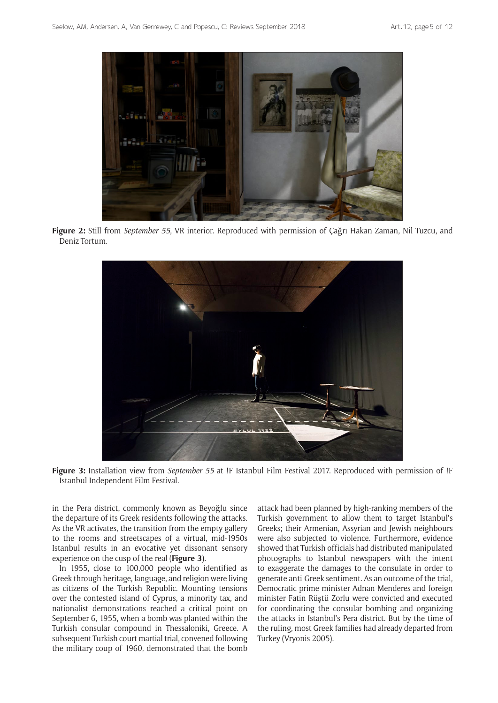

**Figure 2:** Still from *September 55*, VR interior. Reproduced with permission of Çağrı Hakan Zaman, Nil Tuzcu, and Deniz Tortum.



**Figure 3:** Installation view from *September 55* at !F Istanbul Film Festival 2017. Reproduced with permission of !F Istanbul Independent Film Festival.

in the Pera district, commonly known as Beyoğlu since the departure of its Greek residents following the attacks. As the VR activates, the transition from the empty gallery to the rooms and streetscapes of a virtual, mid-1950s Istanbul results in an evocative yet dissonant sensory experience on the cusp of the real (**Figure 3**).

In 1955, close to 100,000 people who identified as Greek through heritage, language, and religion were living as citizens of the Turkish Republic. Mounting tensions over the contested island of Cyprus, a minority tax, and nationalist demonstrations reached a critical point on September 6, 1955, when a bomb was planted within the Turkish consular compound in Thessaloniki, Greece. A subsequent Turkish court martial trial, convened following the military coup of 1960, demonstrated that the bomb

attack had been planned by high-ranking members of the Turkish government to allow them to target Istanbul's Greeks; their Armenian, Assyrian and Jewish neighbours were also subjected to violence. Furthermore, evidence showed that Turkish officials had distributed manipulated photographs to Istanbul newspapers with the intent to exaggerate the damages to the consulate in order to generate anti-Greek sentiment. As an outcome of the trial, Democratic prime minister Adnan Menderes and foreign minister Fatin Rüştü Zorlu were convicted and executed for coordinating the consular bombing and organizing the attacks in Istanbul's Pera district. But by the time of the ruling, most Greek families had already departed from Turkey (Vryonis 2005).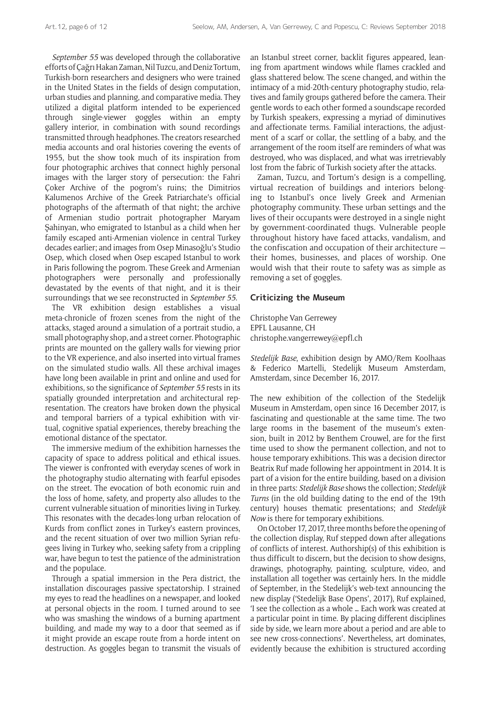*September 55* was developed through the collaborative efforts of Çağrı Hakan Zaman, Nil Tuzcu, and Deniz Tortum, Turkish-born researchers and designers who were trained in the United States in the fields of design computation, urban studies and planning, and comparative media. They utilized a digital platform intended to be experienced through single-viewer goggles within an empty gallery interior, in combination with sound recordings transmitted through headphones. The creators researched media accounts and oral histories covering the events of 1955, but the show took much of its inspiration from four photographic archives that connect highly personal images with the larger story of persecution: the Fahri Çoker Archive of the pogrom's ruins; the Dimitrios Kalumenos Archive of the Greek Patriarchate's official photographs of the aftermath of that night; the archive of Armenian studio portrait photographer Maryam Şahinyan, who emigrated to Istanbul as a child when her family escaped anti-Armenian violence in central Turkey decades earlier; and images from Osep Minasoğlu's Studio Osep, which closed when Osep escaped Istanbul to work in Paris following the pogrom. These Greek and Armenian photographers were personally and professionally devastated by the events of that night, and it is their surroundings that we see reconstructed in *September 55*.

The VR exhibition design establishes a visual meta-chronicle of frozen scenes from the night of the attacks, staged around a simulation of a portrait studio, a small photography shop, and a street corner. Photographic prints are mounted on the gallery walls for viewing prior to the VR experience, and also inserted into virtual frames on the simulated studio walls. All these archival images have long been available in print and online and used for exhibitions, so the significance of *September 55* rests in its spatially grounded interpretation and architectural representation. The creators have broken down the physical and temporal barriers of a typical exhibition with virtual, cognitive spatial experiences, thereby breaching the emotional distance of the spectator.

The immersive medium of the exhibition harnesses the capacity of space to address political and ethical issues. The viewer is confronted with everyday scenes of work in the photography studio alternating with fearful episodes on the street. The evocation of both economic ruin and the loss of home, safety, and property also alludes to the current vulnerable situation of minorities living in Turkey. This resonates with the decades-long urban relocation of Kurds from conflict zones in Turkey's eastern provinces, and the recent situation of over two million Syrian refugees living in Turkey who, seeking safety from a crippling war, have begun to test the patience of the administration and the populace.

Through a spatial immersion in the Pera district, the installation discourages passive spectatorship. I strained my eyes to read the headlines on a newspaper, and looked at personal objects in the room. I turned around to see who was smashing the windows of a burning apartment building, and made my way to a door that seemed as if it might provide an escape route from a horde intent on destruction. As goggles began to transmit the visuals of an Istanbul street corner, backlit figures appeared, leaning from apartment windows while flames crackled and glass shattered below. The scene changed, and within the intimacy of a mid-20th-century photography studio, relatives and family groups gathered before the camera. Their gentle words to each other formed a soundscape recorded by Turkish speakers, expressing a myriad of diminutives and affectionate terms. Familial interactions, the adjustment of a scarf or collar, the settling of a baby, and the arrangement of the room itself are reminders of what was destroyed, who was displaced, and what was irretrievably lost from the fabric of Turkish society after the attacks.

Zaman, Tuzcu, and Tortum's design is a compelling, virtual recreation of buildings and interiors belonging to Istanbul's once lively Greek and Armenian photography community. These urban settings and the lives of their occupants were destroyed in a single night by government-coordinated thugs. Vulnerable people throughout history have faced attacks, vandalism, and the confiscation and occupation of their architecture their homes, businesses, and places of worship. One would wish that their route to safety was as simple as removing a set of goggles.

#### **Criticizing the Museum**

Christophe Van Gerrewey EPFL Lausanne, CH [christophe.vangerrewey@epfl.ch](mailto:christophe.vangerrewey@epfl.ch)

*Stedelijk Base*, exhibition design by AMO/Rem Koolhaas & Federico Martelli, Stedelijk Museum Amsterdam, Amsterdam, since December 16, 2017.

The new exhibition of the collection of the Stedelijk Museum in Amsterdam, open since 16 December 2017, is fascinating and questionable at the same time. The two large rooms in the basement of the museum's extension, built in 2012 by Benthem Crouwel, are for the first time used to show the permanent collection, and not to house temporary exhibitions. This was a decision director Beatrix Ruf made following her appointment in 2014. It is part of a vision for the entire building, based on a division in three parts: *Stedelijk Base* shows the collection; *Stedelijk Turns* (in the old building dating to the end of the 19th century) houses thematic presentations; and *Stedelijk Now* is there for temporary exhibitions.

On October 17, 2017, three months before the opening of the collection display, Ruf stepped down after allegations of conflicts of interest. Authorship(s) of this exhibition is thus difficult to discern, but the decision to show designs, drawings, photography, painting, sculpture, video, and installation all together was certainly hers. In the middle of September, in the Stedelijk's web-text announcing the new display ('Stedelijk Base Opens', 2017), Ruf explained, 'I see the collection as a whole … Each work was created at a particular point in time. By placing different disciplines side by side, we learn more about a period and are able to see new cross-connections'. Nevertheless, art dominates, evidently because the exhibition is structured according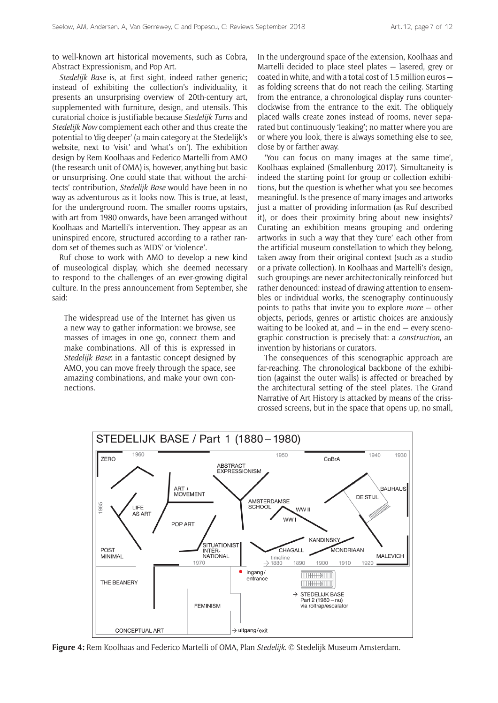to well-known art historical movements, such as Cobra, Abstract Expressionism, and Pop Art.

*Stedelijk Base* is, at first sight, indeed rather generic; instead of exhibiting the collection's individuality, it presents an unsurprising overview of 20th-century art, supplemented with furniture, design, and utensils. This curatorial choice is justifiable because *Stedelijk Turns* and *Stedelijk Now* complement each other and thus create the potential to 'dig deeper' (a main category at the Stedelijk's website, next to 'visit' and 'what's on'). The exhibition design by Rem Koolhaas and Federico Martelli from AMO (the research unit of OMA) is, however, anything but basic or unsurprising. One could state that without the architects' contribution, *Stedelijk Base* would have been in no way as adventurous as it looks now. This is true, at least, for the underground room. The smaller rooms upstairs, with art from 1980 onwards, have been arranged without Koolhaas and Martelli's intervention. They appear as an uninspired encore, structured according to a rather random set of themes such as 'AIDS' or 'violence'.

Ruf chose to work with AMO to develop a new kind of museological display, which she deemed necessary to respond to the challenges of an ever-growing digital culture. In the press announcement from September, she said:

The widespread use of the Internet has given us a new way to gather information: we browse, see masses of images in one go, connect them and make combinations. All of this is expressed in *Stedelijk Base*: in a fantastic concept designed by AMO, you can move freely through the space, see amazing combinations, and make your own connections.

In the underground space of the extension, Koolhaas and Martelli decided to place steel plates — lasered, grey or coated in white, and with a total cost of 1.5 million euros as folding screens that do not reach the ceiling. Starting from the entrance, a chronological display runs counterclockwise from the entrance to the exit. The obliquely placed walls create zones instead of rooms, never separated but continuously 'leaking'; no matter where you are or where you look, there is always something else to see, close by or farther away.

'You can focus on many images at the same time', Koolhaas explained (Smallenburg 2017). Simultaneity is indeed the starting point for group or collection exhibitions, but the question is whether what you see becomes meaningful. Is the presence of many images and artworks just a matter of providing information (as Ruf described it), or does their proximity bring about new insights? Curating an exhibition means grouping and ordering artworks in such a way that they 'cure' each other from the artificial museum constellation to which they belong, taken away from their original context (such as a studio or a private collection). In Koolhaas and Martelli's design, such groupings are never architectonically reinforced but rather denounced: instead of drawing attention to ensembles or individual works, the scenography continuously points to paths that invite you to explore *more* — other objects, periods, genres or artistic choices are anxiously waiting to be looked at, and  $-$  in the end  $-$  every scenographic construction is precisely that: a *construction*, an invention by historians or curators.

The consequences of this scenographic approach are far-reaching. The chronological backbone of the exhibition (against the outer walls) is affected or breached by the architectural setting of the steel plates. The Grand Narrative of Art History is attacked by means of the crisscrossed screens, but in the space that opens up, no small,



**Figure 4:** Rem Koolhaas and Federico Martelli of OMA, Plan *Stedelijk*. *©* Stedelijk Museum Amsterdam.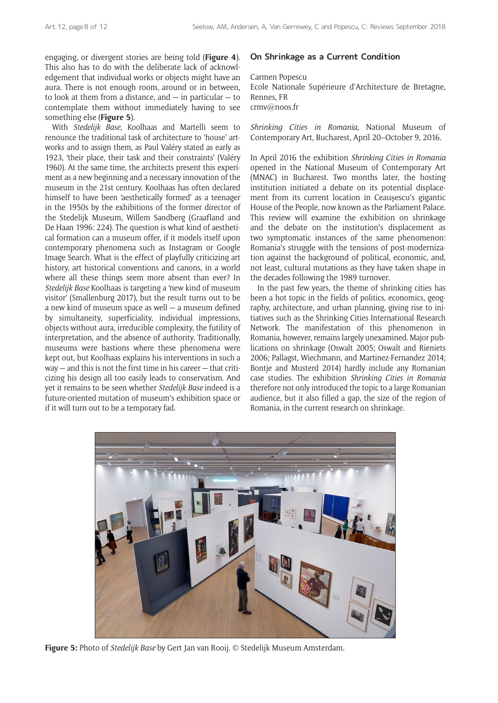engaging, or divergent stories are being told (**Figure 4**). This also has to do with the deliberate lack of acknowledgement that individual works or objects might have an aura. There is not enough room, around or in between, to look at them from a distance, and  $-$  in particular  $-$  to contemplate them without immediately having to see something else (**Figure 5**).

With *Stedelijk Base*, Koolhaas and Martelli seem to renounce the traditional task of architecture to 'house' artworks and to assign them, as Paul Valéry stated as early as 1923, 'their place, their task and their constraints' (Valéry 1960). At the same time, the architects present this experiment as a new beginning and a necessary innovation of the museum in the 21st century. Koolhaas has often declared himself to have been 'aesthetically formed' as a teenager in the 1950s by the exhibitions of the former director of the Stedelijk Museum, Willem Sandberg (Graafland and De Haan 1996: 224). The question is what kind of aesthetical formation can a museum offer, if it models itself upon contemporary phenomena such as Instagram or Google Image Search. What is the effect of playfully criticizing art history, art historical conventions and canons, in a world where all these things seem more absent than ever? In *Stedelijk Base* Koolhaas is targeting a 'new kind of museum visitor' (Smallenburg 2017), but the result turns out to be a new kind of museum space as well — a museum defined by simultaneity, superficiality, individual impressions, objects without aura, irreducible complexity, the futility of interpretation, and the absence of authority. Traditionally, museums were bastions where these phenomena were kept out, but Koolhaas explains his interventions in such a way — and this is not the first time in his career — that criticizing his design all too easily leads to conservatism. And yet it remains to be seen whether *Stedelijk Base* indeed is a future-oriented mutation of museum's exhibition space or if it will turn out to be a temporary fad.

### **On Shrinkage as a Current Condition**

Carmen Popescu Ecole Nationale Supérieure d'Architecture de Bretagne, Rennes, FR [crmv@noos.fr](mailto:crmv@noos.fr)

*Shrinking Cities in Romania*, National Museum of Contemporary Art, Bucharest, April 20–October 9, 2016.

In April 2016 the exhibition *Shrinking Cities in Romania* opened in the National Museum of Contemporary Art (MNAC) in Bucharest. Two months later, the hosting institution initiated a debate on its potential displacement from its current location in Ceaușescu's gigantic House of the People, now known as the Parliament Palace. This review will examine the exhibition on shrinkage and the debate on the institution's displacement as two symptomatic instances of the same phenomenon: Romania's struggle with the tensions of post-modernization against the background of political, economic, and, not least, cultural mutations as they have taken shape in the decades following the 1989 turnover.

In the past few years, the theme of shrinking cities has been a hot topic in the fields of politics, economics, geography, architecture, and urban planning, giving rise to initiatives such as the Shrinking Cities International Research Network. The manifestation of this phenomenon in Romania, however, remains largely unexamined. Major publications on shrinkage (Oswalt 2005; Oswalt and Rieniets 2006; Pallagst, Wiechmann, and Martinez-Fernandez 2014; Bontje and Musterd 2014) hardly include any Romanian case studies. The exhibition *Shrinking Cities in Romania* therefore not only introduced the topic to a large Romanian audience, but it also filled a gap, the size of the region of Romania, in the current research on shrinkage.



**Figure 5:** Photo of *Stedelijk Base* by Gert Jan van Rooij. *©* Stedelijk Museum Amsterdam.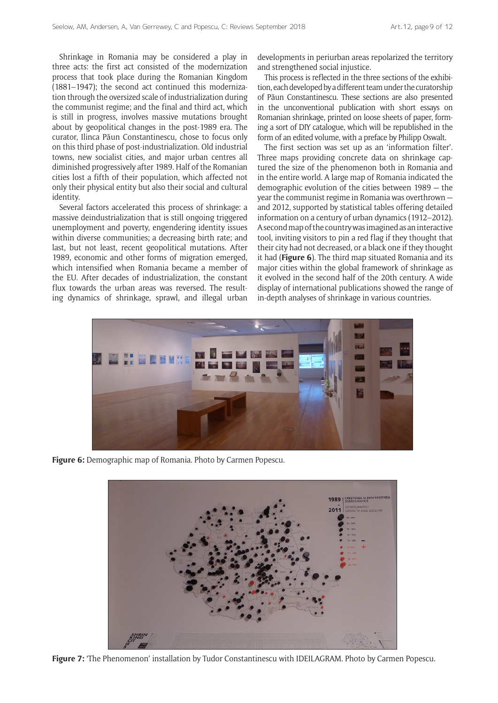Shrinkage in Romania may be considered a play in three acts: the first act consisted of the modernization process that took place during the Romanian Kingdom (1881–1947); the second act continued this modernization through the oversized scale of industrialization during the communist regime; and the final and third act, which is still in progress, involves massive mutations brought about by geopolitical changes in the post-1989 era. The curator, Ilinca Păun Constantinescu, chose to focus only on this third phase of post-industrialization. Old industrial towns, new socialist cities, and major urban centres all diminished progressively after 1989. Half of the Romanian cities lost a fifth of their population, which affected not only their physical entity but also their social and cultural identity.

Several factors accelerated this process of shrinkage: a massive deindustrialization that is still ongoing triggered unemployment and poverty, engendering identity issues within diverse communities; a decreasing birth rate; and last, but not least, recent geopolitical mutations. After 1989, economic and other forms of migration emerged, which intensified when Romania became a member of the EU. After decades of industrialization, the constant flux towards the urban areas was reversed. The resulting dynamics of shrinkage, sprawl, and illegal urban

developments in periurban areas repolarized the territory and strengthened social injustice.

This process is reflected in the three sections of the exhibition, each developed by a different team under the curatorship of Păun Constantinescu. These sections are also presented in the unconventional publication with short essays on Romanian shrinkage, printed on loose sheets of paper, forming a sort of DIY catalogue, which will be republished in the form of an edited volume, with a preface by Philipp Oswalt.

The first section was set up as an 'information filter'. Three maps providing concrete data on shrinkage captured the size of the phenomenon both in Romania and in the entire world. A large map of Romania indicated the demographic evolution of the cities between 1989 — the year the communist regime in Romania was overthrown and 2012, supported by statistical tables offering detailed information on a century of urban dynamics (1912–2012). A second map of the country was imagined as an interactive tool, inviting visitors to pin a red flag if they thought that their city had not decreased, or a black one if they thought it had (**Figure 6**). The third map situated Romania and its major cities within the global framework of shrinkage as it evolved in the second half of the 20th century. A wide display of international publications showed the range of in-depth analyses of shrinkage in various countries.



**Figure 6:** Demographic map of Romania. Photo by Carmen Popescu.



**Figure 7:** 'The Phenomenon' installation by Tudor Constantinescu with IDEILAGRAM. Photo by Carmen Popescu.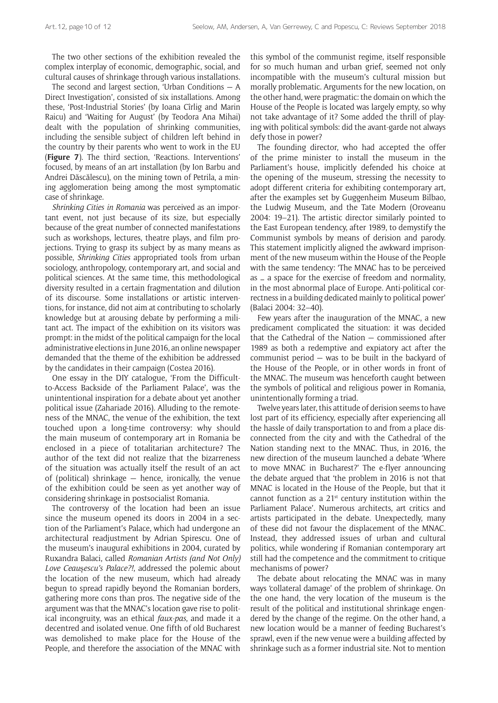The two other sections of the exhibition revealed the complex interplay of economic, demographic, social, and cultural causes of shrinkage through various installations.

The second and largest section, 'Urban Conditions — A Direct Investigation', consisted of six installations. Among these, 'Post-Industrial Stories' (by Ioana Cîrlig and Marin Raicu) and 'Waiting for August' (by Teodora Ana Mihai) dealt with the population of shrinking communities, including the sensible subject of children left behind in the country by their parents who went to work in the EU (**Figure 7**). The third section, 'Reactions. Interventions' focused, by means of an art installation (by Ion Barbu and Andrei Dăscălescu), on the mining town of Petrila, a mining agglomeration being among the most symptomatic case of shrinkage.

*Shrinking Cities in Romania* was perceived as an important event, not just because of its size, but especially because of the great number of connected manifestations such as workshops, lectures, theatre plays, and film projections. Trying to grasp its subject by as many means as possible, *Shrinking Cities* appropriated tools from urban sociology, anthropology, contemporary art, and social and political sciences. At the same time, this methodological diversity resulted in a certain fragmentation and dilution of its discourse. Some installations or artistic interventions, for instance, did not aim at contributing to scholarly knowledge but at arousing debate by performing a militant act. The impact of the exhibition on its visitors was prompt: in the midst of the political campaign for the local administrative elections in June 2016, an online newspaper demanded that the theme of the exhibition be addressed by the candidates in their campaign (Costea 2016).

One essay in the DIY catalogue, 'From the Difficultto-Access Backside of the Parliament Palace', was the unintentional inspiration for a debate about yet another political issue (Zahariade 2016). Alluding to the remoteness of the MNAC, the venue of the exhibition, the text touched upon a long-time controversy: why should the main museum of contemporary art in Romania be enclosed in a piece of totalitarian architecture? The author of the text did not realize that the bizarreness of the situation was actually itself the result of an act of (political) shrinkage — hence, ironically, the venue of the exhibition could be seen as yet another way of considering shrinkage in postsocialist Romania.

The controversy of the location had been an issue since the museum opened its doors in 2004 in a section of the Parliament's Palace, which had undergone an architectural readjustment by Adrian Spirescu. One of the museum's inaugural exhibitions in 2004, curated by Ruxandra Balaci, called *Romanian Artists (and Not Only) Love Ceau*ș*escu's Palace?!*, addressed the polemic about the location of the new museum, which had already begun to spread rapidly beyond the Romanian borders, gathering more cons than pros. The negative side of the argument was that the MNAC's location gave rise to political incongruity, was an ethical *faux-pas*, and made it a decentred and isolated venue. One fifth of old Bucharest was demolished to make place for the House of the People, and therefore the association of the MNAC with

this symbol of the communist regime, itself responsible for so much human and urban grief, seemed not only incompatible with the museum's cultural mission but morally problematic. Arguments for the new location, on the other hand, were pragmatic: the domain on which the House of the People is located was largely empty, so why not take advantage of it? Some added the thrill of playing with political symbols: did the avant-garde not always defy those in power?

The founding director, who had accepted the offer of the prime minister to install the museum in the Parliament's house, implicitly defended his choice at the opening of the museum, stressing the necessity to adopt different criteria for exhibiting contemporary art, after the examples set by Guggenheim Museum Bilbao, the Ludwig Museum, and the Tate Modern (Oroveanu 2004: 19–21). The artistic director similarly pointed to the East European tendency, after 1989, to demystify the Communist symbols by means of derision and parody. This statement implicitly aligned the awkward imprisonment of the new museum within the House of the People with the same tendency: 'The MNAC has to be perceived as … a space for the exercise of freedom and normality, in the most abnormal place of Europe. Anti-political correctness in a building dedicated mainly to political power' (Balaci 2004: 32–40).

Few years after the inauguration of the MNAC, a new predicament complicated the situation: it was decided that the Cathedral of the Nation — commissioned after 1989 as both a redemptive and expiatory act after the communist period — was to be built in the backyard of the House of the People, or in other words in front of the MNAC. The museum was henceforth caught between the symbols of political and religious power in Romania, unintentionally forming a triad.

Twelve years later, this attitude of derision seems to have lost part of its efficiency, especially after experiencing all the hassle of daily transportation to and from a place disconnected from the city and with the Cathedral of the Nation standing next to the MNAC. Thus, in 2016, the new direction of the museum launched a debate 'Where to move MNAC in Bucharest?' The e-flyer announcing the debate argued that 'the problem in 2016 is not that MNAC is located in the House of the People, but that it cannot function as a  $21^{st}$  century institution within the Parliament Palace'. Numerous architects, art critics and artists participated in the debate. Unexpectedly, many of these did not favour the displacement of the MNAC. Instead, they addressed issues of urban and cultural politics, while wondering if Romanian contemporary art still had the competence and the commitment to critique mechanisms of power?

The debate about relocating the MNAC was in many ways 'collateral damage' of the problem of shrinkage. On the one hand, the very location of the museum is the result of the political and institutional shrinkage engendered by the change of the regime. On the other hand, a new location would be a manner of feeding Bucharest's sprawl, even if the new venue were a building affected by shrinkage such as a former industrial site. Not to mention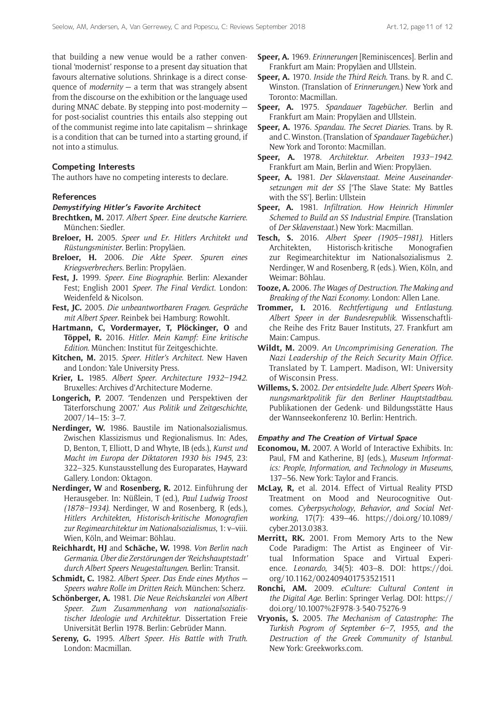that building a new venue would be a rather conventional 'modernist' response to a present day situation that favours alternative solutions. Shrinkage is a direct consequence of *modernity* — a term that was strangely absent from the discourse on the exhibition or the language used during MNAC debate. By stepping into post-modernity for post-socialist countries this entails also stepping out of the communist regime into late capitalism — shrinkage is a condition that can be turned into a starting ground, if not into a stimulus.

#### **Competing Interests**

The authors have no competing interests to declare.

#### **References**

#### **Demystifying Hitler's Favorite Architect**

- **Brechtken, M.** 2017. *Albert Speer*. *Eine deutsche Karriere*. München: Siedler.
- **Breloer, H.** 2005. *Speer und Er*. *Hitlers Architekt und Rüstungsminister*. Berlin: Propyläen.
- **Breloer, H.** 2006. *Die Akte Speer*. *Spuren eines Kriegsverbrechers*. Berlin: Propyläen.
- **Fest, J.** 1999. *Speer*. *Eine Biographie*. Berlin: Alexander Fest; English 2001 *Speer*. *The Final Verdict*. London: Weidenfeld & Nicolson.
- **Fest, JC.** 2005. *Die unbeantwortbaren Fragen*. *Gespräche mit Albert Speer*. Reinbek bei Hamburg: Rowohlt.
- **Hartmann, C, Vordermayer, T, Plöckinger, O** and **Töppel, R.** 2016. *Hitler*. *Mein Kampf: Eine kritische Edition*. München: Institut für Zeitgeschichte.
- **Kitchen, M.** 2015. *Speer*. *Hitler's Architect*. New Haven and London: Yale University Press.
- **Krier, L.** 1985. *Albert Speer*. *Architecture 1932–1942*. Bruxelles: Archives d'Architecture Moderne.
- **Longerich, P.** 2007. 'Tendenzen und Perspektiven der Täterforschung 2007.' *Aus Politik und Zeitgeschichte*, 2007/14–15: 3–7.
- **Nerdinger, W.** 1986. Baustile im Nationalsozialismus. Zwischen Klassizismus und Regionalismus. In: Ades, D, Benton, T, Elliott, D and Whyte, IB (eds.), *Kunst und Macht im Europa der Diktatoren 1930 bis 1945*, 23: 322–325. Kunstausstellung des Europarates, Hayward Gallery. London: Oktagon.
- **Nerdinger, W** and **Rosenberg, R.** 2012. Einführung der Herausgeber. In: Nüßlein, T (ed.), *Paul Ludwig Troost (1878–1934)*. Nerdinger, W and Rosenberg, R (eds.), *Hitlers Architekten, Historisch-kritische Monografien zur Regimearchitektur im Nationalsozialismus*, 1: v–viii. Wien, Köln, and Weimar: Böhlau.
- **Reichhardt, HJ** and **Schäche, W.** 1998. *Von Berlin nach Germania*. *Über die Zerstörungen der 'Reichshauptstadt' durch Albert Speers Neugestaltungen*. Berlin: Transit.
- **Schmidt, C.** 1982. *Albert Speer*. *Das Ende eines Mythos Speers wahre Rolle im Dritten Reich*. München: Scherz.
- **Schönberger, A.** 1981. *Die Neue Reichskanzlei von Albert Speer*. *Zum Zusammenhang von nationalsozialistischer Ideologie und Architektur*. Dissertation Freie Universität Berlin 1978. Berlin: Gebrüder Mann.
- **Sereny, G.** 1995. *Albert Speer*. *His Battle with Truth*. London: Macmillan.
- **Speer, A.** 1969. *Erinnerungen* [Reminiscences]. Berlin and Frankfurt am Main: Propyläen and Ullstein.
- **Speer, A.** 1970. *Inside the Third Reich*. Trans. by R. and C. Winston. (Translation of *Erinnerungen*.) New York and Toronto: Macmillan.
- **Speer, A.** 1975. *Spandauer Tagebücher*. Berlin and Frankfurt am Main: Propyläen and Ullstein.
- **Speer, A.** 1976. *Spandau*. *The Secret Diaries*. Trans. by R. and C. Winston. (Translation of *Spandauer Tagebücher*.) New York and Toronto: Macmillan.
- **Speer, A.** 1978. *Architektur*. *Arbeiten 1933–1942*. Frankfurt am Main, Berlin and Wien: Propyläen.
- **Speer, A.** 1981. *Der Sklavenstaat*. *Meine Auseinandersetzungen mit der SS* ['The Slave State: My Battles with the SS']. Berlin: Ullstein
- **Speer, A.** 1981. *Infiltration*. *How Heinrich Himmler Schemed to Build an SS Industrial Empire*. (Translation of *Der Sklavenstaat*.) New York: Macmillan.
- **Tesch, S.** 2016. *Albert Speer (1905–1981)*. Hitlers Architekten, Historisch-kritische Monografien zur Regimearchitektur im Nationalsozialismus 2. Nerdinger, W and Rosenberg, R (eds.). Wien, Köln, and Weimar: Böhlau.
- **Tooze, A.** 2006. *The Wages of Destruction*. *The Making and Breaking of the Nazi Economy*. London: Allen Lane.
- **Trommer, I.** 2016. *Rechtfertigung und Entlastung*. *Albert Speer in der Bundesrepublik*. Wissenschaftliche Reihe des Fritz Bauer Instituts, 27. Frankfurt am Main: Campus.
- **Wildt, M.** 2009. *An Uncomprimising Generation*. *The Nazi Leadership of the Reich Security Main Office*. Translated by T. Lampert. Madison, WI: University of Wisconsin Press.
- **Willems, S.** 2002. *Der entsiedelte Jude*. *Albert Speers Wohnungsmarktpolitik für den Berliner Hauptstadtbau*. Publikationen der Gedenk- und Bildungsstätte Haus der Wannseekonferenz 10. Berlin: Hentrich.

#### **Empathy and The Creation of Virtual Space**

- **Economou, M.** 2007. A World of Interactive Exhibits. In: Paul, FM and Katherine, BJ (eds.), *Museum Informatics: People*, *Information*, *and Technology in Museums*, 137–56. New York: Taylor and Francis.
- **McLay, R,** et al. 2014. Effect of Virtual Reality PTSD Treatment on Mood and Neurocognitive Outcomes. *Cyberpsychology*, *Behavior*, *and Social Networking*, 17(7): 439–46. [https://doi.org/10.1089/](https://doi.org/10.1089/cyber.2013.0383) [cyber.2013.0383](https://doi.org/10.1089/cyber.2013.0383).
- **Merritt, RK.** 2001. From Memory Arts to the New Code Paradigm: The Artist as Engineer of Virtual Information Space and Virtual Experience. *Leonardo*, 34(5): 403–8. DOI: [https://doi.](https://doi.org/10.1162/002409401753521511) [org/10.1162/002409401753521511](https://doi.org/10.1162/002409401753521511)
- **Ronchi, AM.** 2009. *eCulture: Cultural Content in the Digital Age*. Berlin: Springer Verlag. DOI: [https://](https://doi.org/10.1007%2F978-3-540-75276-9) [doi.org/10.1007%2F978-3-540-75276-9](https://doi.org/10.1007%2F978-3-540-75276-9)
- **Vryonis, S.** 2005. *The Mechanism of Catastrophe: The Turkish Pogrom of September 6–7*, *1955*, *and the Destruction of the Greek Community of Istanbul*. New York: [Greekworks.com.](http://greekworks.com/)